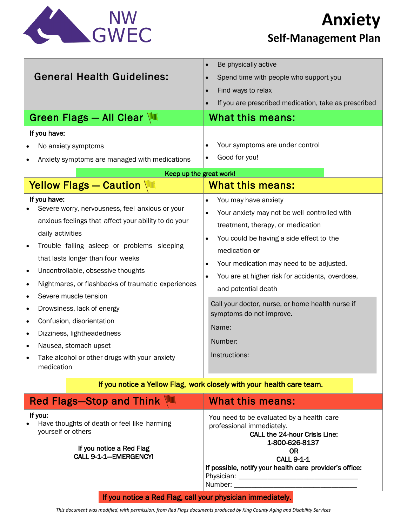

**Anxiety**

## **Self-Management Plan**

|                                                                                                                                                                                                                                                                                                                                                                                                                                                                                                                                                                                                                                               | Be physically active<br>$\bullet$                                                                                                                                                                                                                                                                                                                                                                                                                                                  |
|-----------------------------------------------------------------------------------------------------------------------------------------------------------------------------------------------------------------------------------------------------------------------------------------------------------------------------------------------------------------------------------------------------------------------------------------------------------------------------------------------------------------------------------------------------------------------------------------------------------------------------------------------|------------------------------------------------------------------------------------------------------------------------------------------------------------------------------------------------------------------------------------------------------------------------------------------------------------------------------------------------------------------------------------------------------------------------------------------------------------------------------------|
| <b>General Health Guidelines:</b>                                                                                                                                                                                                                                                                                                                                                                                                                                                                                                                                                                                                             | Spend time with people who support you<br>$\bullet$                                                                                                                                                                                                                                                                                                                                                                                                                                |
|                                                                                                                                                                                                                                                                                                                                                                                                                                                                                                                                                                                                                                               | Find ways to relax<br>$\bullet$                                                                                                                                                                                                                                                                                                                                                                                                                                                    |
|                                                                                                                                                                                                                                                                                                                                                                                                                                                                                                                                                                                                                                               | If you are prescribed medication, take as prescribed                                                                                                                                                                                                                                                                                                                                                                                                                               |
| Green Flags - All Clear $\sqrt{1}$                                                                                                                                                                                                                                                                                                                                                                                                                                                                                                                                                                                                            | What this means:                                                                                                                                                                                                                                                                                                                                                                                                                                                                   |
| If you have:                                                                                                                                                                                                                                                                                                                                                                                                                                                                                                                                                                                                                                  |                                                                                                                                                                                                                                                                                                                                                                                                                                                                                    |
| No anxiety symptoms<br>$\bullet$                                                                                                                                                                                                                                                                                                                                                                                                                                                                                                                                                                                                              | Your symptoms are under control<br>٠                                                                                                                                                                                                                                                                                                                                                                                                                                               |
| Anxiety symptoms are managed with medications<br>$\bullet$                                                                                                                                                                                                                                                                                                                                                                                                                                                                                                                                                                                    | Good for you!                                                                                                                                                                                                                                                                                                                                                                                                                                                                      |
| Keep up the great work!                                                                                                                                                                                                                                                                                                                                                                                                                                                                                                                                                                                                                       |                                                                                                                                                                                                                                                                                                                                                                                                                                                                                    |
| Yellow Flags - Caution                                                                                                                                                                                                                                                                                                                                                                                                                                                                                                                                                                                                                        | <b>What this means:</b>                                                                                                                                                                                                                                                                                                                                                                                                                                                            |
| If you have:<br>Severe worry, nervousness, feel anxious or your<br>anxious feelings that affect your ability to do your<br>daily activities<br>Trouble falling asleep or problems sleeping<br>$\bullet$<br>that lasts longer than four weeks<br>Uncontrollable, obsessive thoughts<br>$\bullet$<br>Nightmares, or flashbacks of traumatic experiences<br>$\bullet$<br>Severe muscle tension<br>$\bullet$<br>Drowsiness, lack of energy<br>$\bullet$<br>Confusion, disorientation<br>$\bullet$<br>Dizziness, lightheadedness<br>$\bullet$<br>Nausea, stomach upset<br>$\bullet$<br>Take alcohol or other drugs with your anxiety<br>medication | You may have anxiety<br>$\bullet$<br>Your anxiety may not be well controlled with<br>$\bullet$<br>treatment, therapy, or medication<br>You could be having a side effect to the<br>$\bullet$<br>medication or<br>Your medication may need to be adjusted.<br>$\bullet$<br>You are at higher risk for accidents, overdose,<br>$\bullet$<br>and potential death<br>Call your doctor, nurse, or home health nurse if<br>symptoms do not improve.<br>Name:<br>Number:<br>Instructions: |
| If you notice a Yellow Flag, work closely with your health care team.                                                                                                                                                                                                                                                                                                                                                                                                                                                                                                                                                                         |                                                                                                                                                                                                                                                                                                                                                                                                                                                                                    |
| <b>Red Flags-Stop and Think</b>                                                                                                                                                                                                                                                                                                                                                                                                                                                                                                                                                                                                               | <b>What this means:</b>                                                                                                                                                                                                                                                                                                                                                                                                                                                            |
| If you:<br>Have thoughts of death or feel like harming<br>yourself or others<br>If you notice a Red Flag<br>CALL 9-1-1-EMERGENCY!                                                                                                                                                                                                                                                                                                                                                                                                                                                                                                             | You need to be evaluated by a health care<br>professional immediately.<br><b>CALL the 24-hour Crisis Line:</b><br>1-800-626-8137<br><b>OR</b><br><b>CALL 9-1-1</b><br>If possible, notify your health care provider's office:<br>Physician:                                                                                                                                                                                                                                        |

If you notice a Red Flag, call your physician immediately.

Number: \_